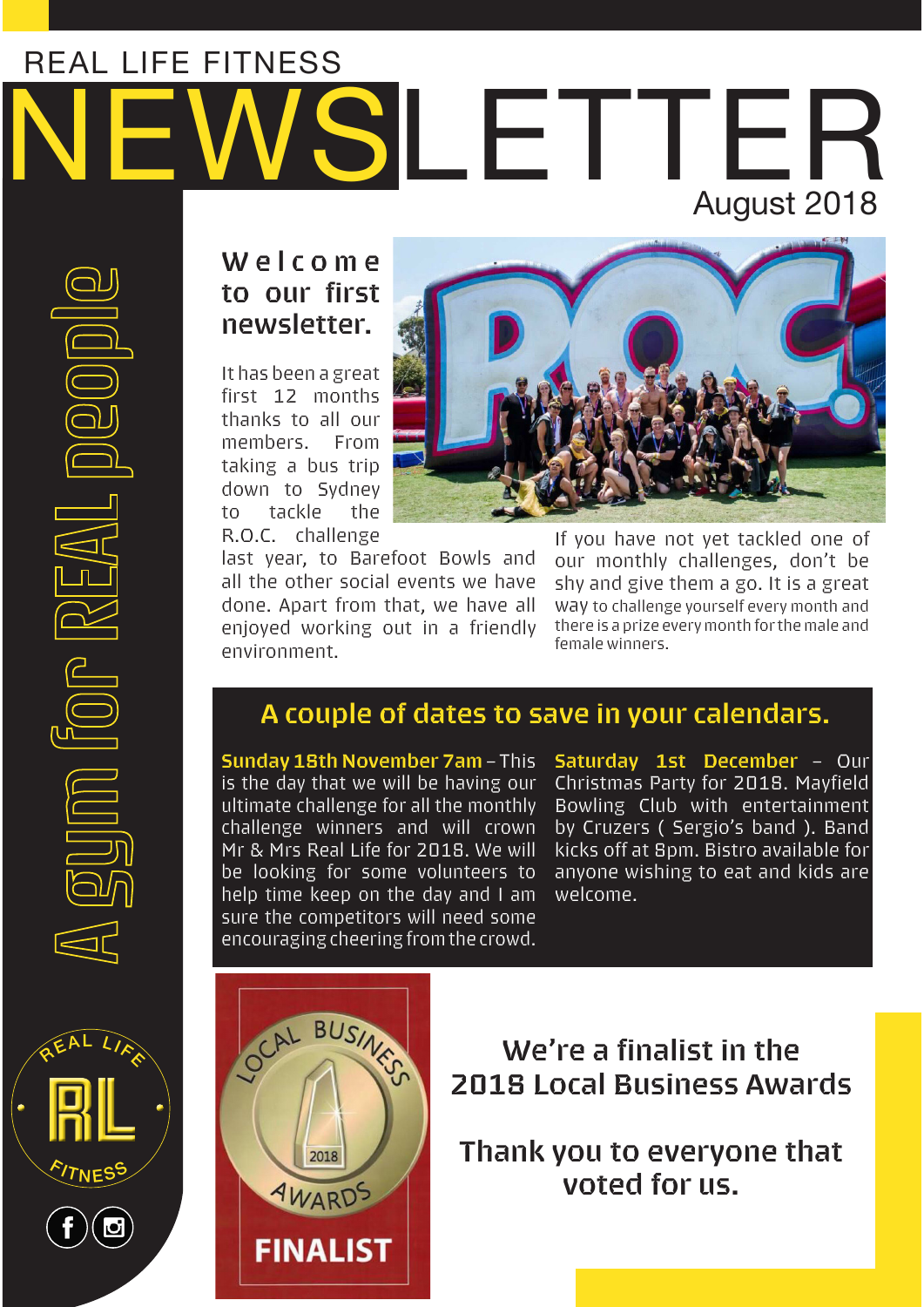# NEWSLETTER REAL LIFE FITNESS August 2018



R.O.C. challenge last year, to Barefoot Bowls and all the other social events we have done. Apart from that, we have all enjoyed working out in a friendly environment.

If you have not yet tackled one of our monthly challenges, don't be shy and give them a go. It is a great way to challenge yourself every month and there is a prize every month for the male and female winners.

# **A couple of dates to save in your calendars.**

**Sunday 18th November 7am** – This is the day that we will be having our ultimate challenge for all the monthly challenge winners and will crown Mr & Mrs Real Life for 2018. We will be looking for some volunteers to help time keep on the day and I am sure the competitors will need some encouraging cheering from the crowd.

**Saturday 1st December** – Our Christmas Party for 2018. Mayfield Bowling Club with entertainment by Cruzers ( Sergio's band ). Band kicks off at 8pm. Bistro available for anyone wishing to eat and kids are welcome.





**We're a finalist in the 2018 Local Business Awards**

**Thank you to everyone that voted for us.**